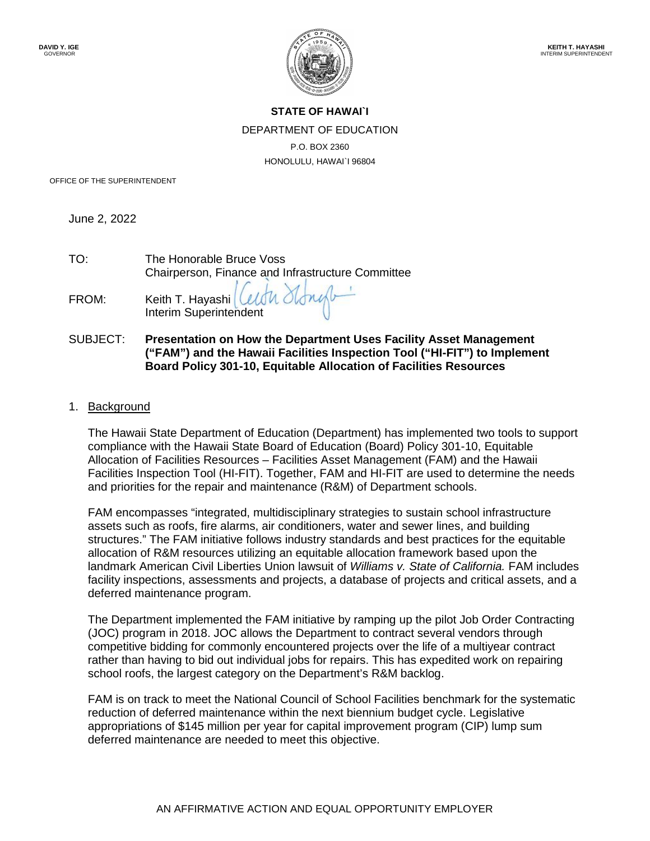

## **STATE OF HAWAI`I** DEPARTMENT OF EDUCATION P.O. BOX 2360 HONOLULU, HAWAI`I 96804

OFFICE OF THE SUPERINTENDENT

June 2, 2022

| TO:   | The Honorable Bruce Voss<br>Chairperson, Finance and Infrastructure Committee |
|-------|-------------------------------------------------------------------------------|
| FROM: | Keith T. Hayashi (Celtr Stongb-<br>Interim Superintendent                     |

## SUBJECT: **Presentation on How the Department Uses Facility Asset Management ("FAM") and the Hawaii Facilities Inspection Tool ("HI-FIT") to Implement Board Policy 301-10, Equitable Allocation of Facilities Resources**

1. Background

The Hawaii State Department of Education (Department) has implemented two tools to support compliance with the Hawaii State Board of Education (Board) Policy 301-10, Equitable Allocation of Facilities Resources – Facilities Asset Management (FAM) and the Hawaii Facilities Inspection Tool (HI-FIT). Together, FAM and HI-FIT are used to determine the needs and priorities for the repair and maintenance (R&M) of Department schools.

FAM encompasses "integrated, multidisciplinary strategies to sustain school infrastructure assets such as roofs, fire alarms, air conditioners, water and sewer lines, and building structures." The FAM initiative follows industry standards and best practices for the equitable allocation of R&M resources utilizing an equitable allocation framework based upon the landmark American Civil Liberties Union lawsuit of *Williams v. State of California.* FAM includes facility inspections, assessments and projects, a database of projects and critical assets, and a deferred maintenance program.

The Department implemented the FAM initiative by ramping up the pilot Job Order Contracting (JOC) program in 2018. JOC allows the Department to contract several vendors through competitive bidding for commonly encountered projects over the life of a multiyear contract rather than having to bid out individual jobs for repairs. This has expedited work on repairing school roofs, the largest category on the Department's R&M backlog.

FAM is on track to meet the National Council of School Facilities benchmark for the systematic reduction of deferred maintenance within the next biennium budget cycle. Legislative appropriations of \$145 million per year for capital improvement program (CIP) lump sum deferred maintenance are needed to meet this objective.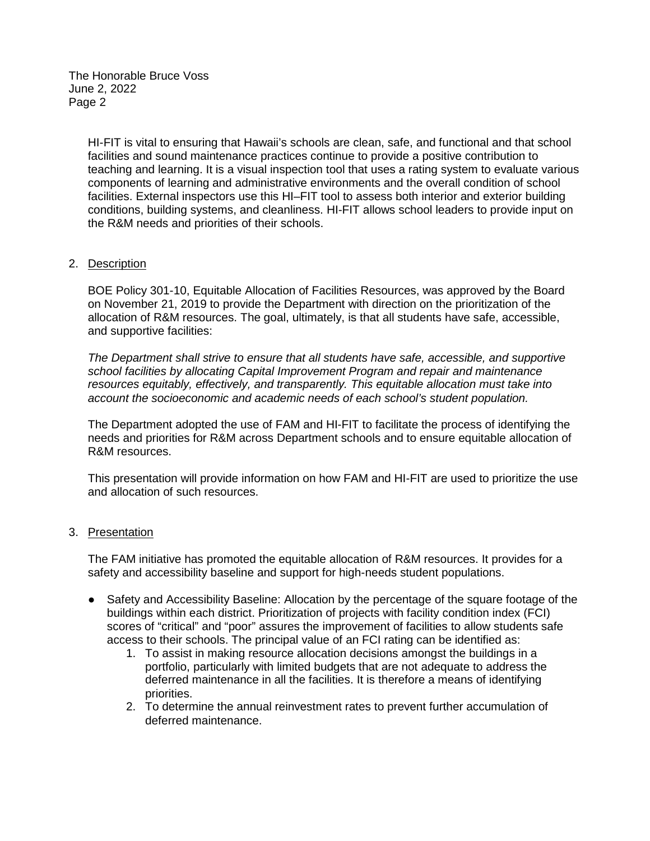The Honorable Bruce Voss June 2, 2022 Page 2

> HI-FIT is vital to ensuring that Hawaii's schools are clean, safe, and functional and that school facilities and sound maintenance practices continue to provide a positive contribution to teaching and learning. It is a visual inspection tool that uses a rating system to evaluate various components of learning and administrative environments and the overall condition of school facilities. External inspectors use this HI–FIT tool to assess both interior and exterior building conditions, building systems, and cleanliness. HI-FIT allows school leaders to provide input on the R&M needs and priorities of their schools.

## 2. Description

BOE Policy 301-10, Equitable Allocation of Facilities Resources, was approved by the Board on November 21, 2019 to provide the Department with direction on the prioritization of the allocation of R&M resources. The goal, ultimately, is that all students have safe, accessible, and supportive facilities:

*The Department shall strive to ensure that all students have safe, accessible, and supportive school facilities by allocating Capital Improvement Program and repair and maintenance resources equitably, effectively, and transparently. This equitable allocation must take into account the socioeconomic and academic needs of each school's student population.*

The Department adopted the use of FAM and HI-FIT to facilitate the process of identifying the needs and priorities for R&M across Department schools and to ensure equitable allocation of R&M resources.

This presentation will provide information on how FAM and HI-FIT are used to prioritize the use and allocation of such resources.

## 3. Presentation

The FAM initiative has promoted the equitable allocation of R&M resources. It provides for a safety and accessibility baseline and support for high-needs student populations.

- Safety and Accessibility Baseline: Allocation by the percentage of the square footage of the buildings within each district. Prioritization of projects with facility condition index (FCI) scores of "critical" and "poor" assures the improvement of facilities to allow students safe access to their schools. The principal value of an FCI rating can be identified as:
	- 1. To assist in making resource allocation decisions amongst the buildings in a portfolio, particularly with limited budgets that are not adequate to address the deferred maintenance in all the facilities. It is therefore a means of identifying priorities.
	- 2. To determine the annual reinvestment rates to prevent further accumulation of deferred maintenance.